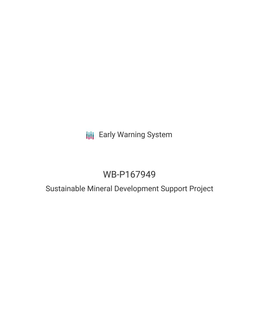# **III** Early Warning System

# WB-P167949

## Sustainable Mineral Development Support Project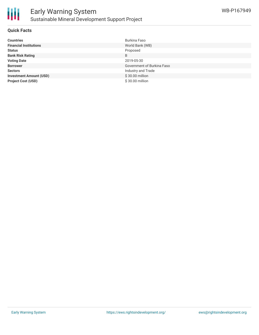

#### **Quick Facts**

| <b>Countries</b>               | Burkina Faso               |
|--------------------------------|----------------------------|
| <b>Financial Institutions</b>  | World Bank (WB)            |
| <b>Status</b>                  | Proposed                   |
| <b>Bank Risk Rating</b>        | B                          |
| <b>Voting Date</b>             | 2019-05-30                 |
| <b>Borrower</b>                | Government of Burkina Faso |
| <b>Sectors</b>                 | Industry and Trade         |
| <b>Investment Amount (USD)</b> | \$30.00 million            |
| <b>Project Cost (USD)</b>      | \$30.00 million            |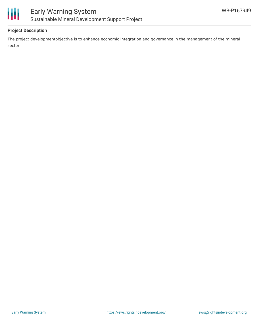



### **Project Description**

The project developmentobjective is to enhance economic integration and governance in the management of the mineral sector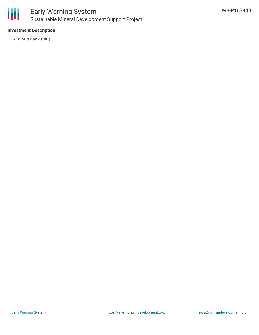

### Early Warning System Sustainable Mineral Development Support Project

### **Investment Description**

World Bank (WB)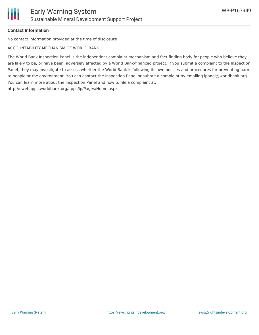

### **Contact Information**

No contact information provided at the time of disclosure

ACCOUNTABILITY MECHANISM OF WORLD BANK

The World Bank Inspection Panel is the independent complaint mechanism and fact-finding body for people who believe they are likely to be, or have been, adversely affected by a World Bank-financed project. If you submit a complaint to the Inspection Panel, they may investigate to assess whether the World Bank is following its own policies and procedures for preventing harm to people or the environment. You can contact the Inspection Panel or submit a complaint by emailing ipanel@worldbank.org. You can learn more about the Inspection Panel and how to file a complaint at: http://ewebapps.worldbank.org/apps/ip/Pages/Home.aspx.